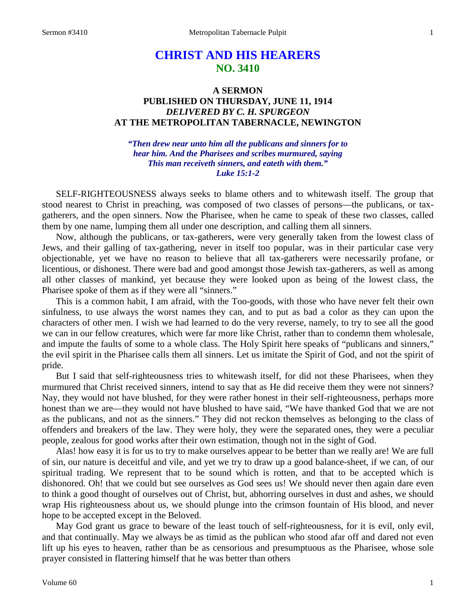# **CHRIST AND HIS HEARERS NO. 3410**

## **A SERMON PUBLISHED ON THURSDAY, JUNE 11, 1914** *DELIVERED BY C. H. SPURGEON* **AT THE METROPOLITAN TABERNACLE, NEWINGTON**

*"Then drew near unto him all the publicans and sinners for to hear him. And the Pharisees and scribes murmured, saying This man receiveth sinners, and eateth with them." Luke 15:1-2*

SELF-RIGHTEOUSNESS always seeks to blame others and to whitewash itself. The group that stood nearest to Christ in preaching, was composed of two classes of persons—the publicans, or taxgatherers, and the open sinners. Now the Pharisee, when he came to speak of these two classes, called them by one name, lumping them all under one description, and calling them all sinners.

Now, although the publicans, or tax-gatherers, were very generally taken from the lowest class of Jews, and their galling of tax-gathering, never in itself too popular, was in their particular case very objectionable, yet we have no reason to believe that all tax-gatherers were necessarily profane, or licentious, or dishonest. There were bad and good amongst those Jewish tax-gatherers, as well as among all other classes of mankind, yet because they were looked upon as being of the lowest class, the Pharisee spoke of them as if they were all "sinners."

This is a common habit, I am afraid, with the Too-goods, with those who have never felt their own sinfulness, to use always the worst names they can, and to put as bad a color as they can upon the characters of other men. I wish we had learned to do the very reverse, namely, to try to see all the good we can in our fellow creatures, which were far more like Christ, rather than to condemn them wholesale, and impute the faults of some to a whole class. The Holy Spirit here speaks of "publicans and sinners," the evil spirit in the Pharisee calls them all sinners. Let us imitate the Spirit of God, and not the spirit of pride.

But I said that self-righteousness tries to whitewash itself, for did not these Pharisees, when they murmured that Christ received sinners, intend to say that as He did receive them they were not sinners? Nay, they would not have blushed, for they were rather honest in their self-righteousness, perhaps more honest than we are—they would not have blushed to have said, "We have thanked God that we are not as the publicans, and not as the sinners." They did not reckon themselves as belonging to the class of offenders and breakers of the law. They were holy, they were the separated ones, they were a peculiar people, zealous for good works after their own estimation, though not in the sight of God.

Alas! how easy it is for us to try to make ourselves appear to be better than we really are! We are full of sin, our nature is deceitful and vile, and yet we try to draw up a good balance-sheet, if we can, of our spiritual trading. We represent that to be sound which is rotten, and that to be accepted which is dishonored. Oh! that we could but see ourselves as God sees us! We should never then again dare even to think a good thought of ourselves out of Christ, but, abhorring ourselves in dust and ashes, we should wrap His righteousness about us, we should plunge into the crimson fountain of His blood, and never hope to be accepted except in the Beloved.

May God grant us grace to beware of the least touch of self-righteousness, for it is evil, only evil, and that continually. May we always be as timid as the publican who stood afar off and dared not even lift up his eyes to heaven, rather than be as censorious and presumptuous as the Pharisee, whose sole prayer consisted in flattering himself that he was better than others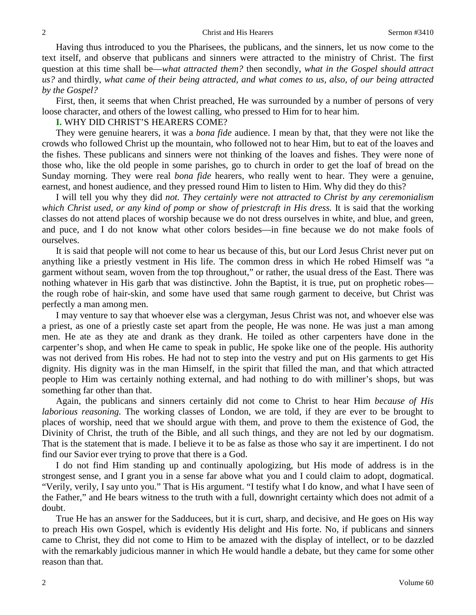Having thus introduced to you the Pharisees, the publicans, and the sinners, let us now come to the text itself, and observe that publicans and sinners were attracted to the ministry of Christ. The first question at this time shall be—*what attracted them?* then secondly, *what in the Gospel should attract us?* and thirdly, *what came of their being attracted, and what comes to us, also, of our being attracted by the Gospel?*

First, then, it seems that when Christ preached, He was surrounded by a number of persons of very loose character, and others of the lowest calling, who pressed to Him for to hear him.

#### **I.** WHY DID CHRIST'S HEARERS COME?

They were genuine hearers, it was a *bona fide* audience. I mean by that, that they were not like the crowds who followed Christ up the mountain, who followed not to hear Him, but to eat of the loaves and the fishes. These publicans and sinners were not thinking of the loaves and fishes. They were none of those who, like the old people in some parishes, go to church in order to get the loaf of bread on the Sunday morning. They were real *bona fide* hearers, who really went to hear. They were a genuine, earnest, and honest audience, and they pressed round Him to listen to Him. Why did they do this?

I will tell you why they did *not. They certainly were not attracted to Christ by any ceremonialism which Christ used, or any kind of pomp or show of priestcraft in His dress.* It is said that the working classes do not attend places of worship because we do not dress ourselves in white, and blue, and green, and puce, and I do not know what other colors besides—in fine because we do not make fools of ourselves.

It is said that people will not come to hear us because of this, but our Lord Jesus Christ never put on anything like a priestly vestment in His life. The common dress in which He robed Himself was "a garment without seam, woven from the top throughout," or rather, the usual dress of the East. There was nothing whatever in His garb that was distinctive. John the Baptist, it is true, put on prophetic robes the rough robe of hair-skin, and some have used that same rough garment to deceive, but Christ was perfectly a man among men.

I may venture to say that whoever else was a clergyman, Jesus Christ was not, and whoever else was a priest, as one of a priestly caste set apart from the people, He was none. He was just a man among men. He ate as they ate and drank as they drank. He toiled as other carpenters have done in the carpenter's shop, and when He came to speak in public, He spoke like one of the people. His authority was not derived from His robes. He had not to step into the vestry and put on His garments to get His dignity. His dignity was in the man Himself, in the spirit that filled the man, and that which attracted people to Him was certainly nothing external, and had nothing to do with milliner's shops, but was something far other than that.

Again, the publicans and sinners certainly did not come to Christ to hear Him *because of His laborious reasoning.* The working classes of London, we are told, if they are ever to be brought to places of worship, need that we should argue with them, and prove to them the existence of God, the Divinity of Christ, the truth of the Bible, and all such things, and they are not led by our dogmatism. That is the statement that is made. I believe it to be as false as those who say it are impertinent. I do not find our Savior ever trying to prove that there is a God.

I do not find Him standing up and continually apologizing, but His mode of address is in the strongest sense, and I grant you in a sense far above what you and I could claim to adopt, dogmatical. "Verily, verily, I say unto you." That is His argument. "I testify what I do know, and what I have seen of the Father," and He bears witness to the truth with a full, downright certainty which does not admit of a doubt.

True He has an answer for the Sadducees, but it is curt, sharp, and decisive, and He goes on His way to preach His own Gospel, which is evidently His delight and His forte. No, if publicans and sinners came to Christ, they did not come to Him to be amazed with the display of intellect, or to be dazzled with the remarkably judicious manner in which He would handle a debate, but they came for some other reason than that.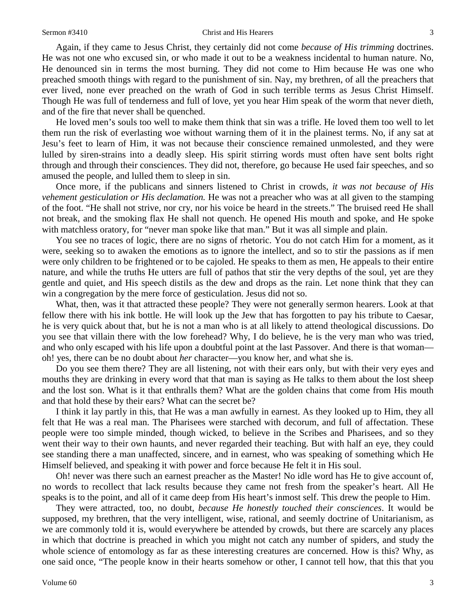#### Sermon #3410 **Christ** and His Hearers 3

Again, if they came to Jesus Christ, they certainly did not come *because of His trimming* doctrines. He was not one who excused sin, or who made it out to be a weakness incidental to human nature. No, He denounced sin in terms the most burning. They did not come to Him because He was one who preached smooth things with regard to the punishment of sin. Nay, my brethren, of all the preachers that ever lived, none ever preached on the wrath of God in such terrible terms as Jesus Christ Himself. Though He was full of tenderness and full of love, yet you hear Him speak of the worm that never dieth, and of the fire that never shall be quenched.

He loved men's souls too well to make them think that sin was a trifle. He loved them too well to let them run the risk of everlasting woe without warning them of it in the plainest terms. No, if any sat at Jesu's feet to learn of Him, it was not because their conscience remained unmolested, and they were lulled by siren-strains into a deadly sleep. His spirit stirring words must often have sent bolts right through and through their consciences. They did not, therefore, go because He used fair speeches, and so amused the people, and lulled them to sleep in sin.

Once more, if the publicans and sinners listened to Christ in crowds, *it was not because of His vehement gesticulation or His declamation.* He was not a preacher who was at all given to the stamping of the foot. "He shall not strive, nor cry, nor his voice be heard in the streets." The bruised reed He shall not break, and the smoking flax He shall not quench. He opened His mouth and spoke, and He spoke with matchless oratory, for "never man spoke like that man." But it was all simple and plain.

You see no traces of logic, there are no signs of rhetoric. You do not catch Him for a moment, as it were, seeking so to awaken the emotions as to ignore the intellect, and so to stir the passions as if men were only children to be frightened or to be cajoled. He speaks to them as men, He appeals to their entire nature, and while the truths He utters are full of pathos that stir the very depths of the soul, yet are they gentle and quiet, and His speech distils as the dew and drops as the rain. Let none think that they can win a congregation by the mere force of gesticulation. Jesus did not so.

What, then, was it that attracted these people? They were not generally sermon hearers. Look at that fellow there with his ink bottle. He will look up the Jew that has forgotten to pay his tribute to Caesar, he is very quick about that, but he is not a man who is at all likely to attend theological discussions. Do you see that villain there with the low forehead? Why, I do believe, he is the very man who was tried, and who only escaped with his life upon a doubtful point at the last Passover. And there is that woman oh! yes, there can be no doubt about *her* character—you know her, and what she is.

Do you see them there? They are all listening, not with their ears only, but with their very eyes and mouths they are drinking in every word that that man is saying as He talks to them about the lost sheep and the lost son. What is it that enthralls them? What are the golden chains that come from His mouth and that hold these by their ears? What can the secret be?

I think it lay partly in this, that He was a man awfully in earnest. As they looked up to Him, they all felt that He was a real man. The Pharisees were starched with decorum, and full of affectation. These people were too simple minded, though wicked, to believe in the Scribes and Pharisees, and so they went their way to their own haunts, and never regarded their teaching. But with half an eye, they could see standing there a man unaffected, sincere, and in earnest, who was speaking of something which He Himself believed, and speaking it with power and force because He felt it in His soul.

Oh! never was there such an earnest preacher as the Master! No idle word has He to give account of, no words to recollect that lack results because they came not fresh from the speaker's heart. All He speaks is to the point, and all of it came deep from His heart's inmost self. This drew the people to Him.

They were attracted, too, no doubt, *because He honestly touched their consciences*. It would be supposed, my brethren, that the very intelligent, wise, rational, and seemly doctrine of Unitarianism, as we are commonly told it is, would everywhere be attended by crowds, but there are scarcely any places in which that doctrine is preached in which you might not catch any number of spiders, and study the whole science of entomology as far as these interesting creatures are concerned. How is this? Why, as one said once, "The people know in their hearts somehow or other, I cannot tell how, that this that you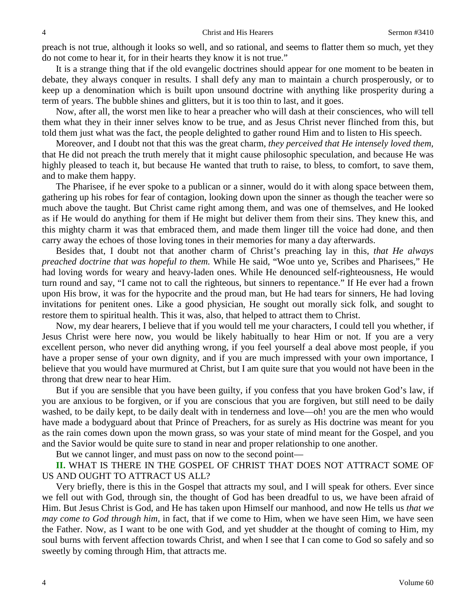preach is not true, although it looks so well, and so rational, and seems to flatter them so much, yet they do not come to hear it, for in their hearts they know it is not true."

It is a strange thing that if the old evangelic doctrines should appear for one moment to be beaten in debate, they always conquer in results. I shall defy any man to maintain a church prosperously, or to keep up a denomination which is built upon unsound doctrine with anything like prosperity during a term of years. The bubble shines and glitters, but it is too thin to last, and it goes.

Now, after all, the worst men like to hear a preacher who will dash at their consciences, who will tell them what they in their inner selves know to be true, and as Jesus Christ never flinched from this, but told them just what was the fact, the people delighted to gather round Him and to listen to His speech.

Moreover, and I doubt not that this was the great charm, *they perceived that He intensely loved them,* that He did not preach the truth merely that it might cause philosophic speculation, and because He was highly pleased to teach it, but because He wanted that truth to raise, to bless, to comfort, to save them, and to make them happy.

The Pharisee, if he ever spoke to a publican or a sinner, would do it with along space between them, gathering up his robes for fear of contagion, looking down upon the sinner as though the teacher were so much above the taught. But Christ came right among them, and was one of themselves, and He looked as if He would do anything for them if He might but deliver them from their sins. They knew this, and this mighty charm it was that embraced them, and made them linger till the voice had done, and then carry away the echoes of those loving tones in their memories for many a day afterwards.

Besides that, I doubt not that another charm of Christ's preaching lay in this, *that He always preached doctrine that was hopeful to them.* While He said, "Woe unto ye, Scribes and Pharisees," He had loving words for weary and heavy-laden ones. While He denounced self-righteousness, He would turn round and say, "I came not to call the righteous, but sinners to repentance." If He ever had a frown upon His brow, it was for the hypocrite and the proud man, but He had tears for sinners, He had loving invitations for penitent ones. Like a good physician, He sought out morally sick folk, and sought to restore them to spiritual health. This it was, also, that helped to attract them to Christ.

Now, my dear hearers, I believe that if you would tell me your characters, I could tell you whether, if Jesus Christ were here now, you would be likely habitually to hear Him or not. If you are a very excellent person, who never did anything wrong, if you feel yourself a deal above most people, if you have a proper sense of your own dignity, and if you are much impressed with your own importance, I believe that you would have murmured at Christ, but I am quite sure that you would not have been in the throng that drew near to hear Him.

But if you are sensible that you have been guilty, if you confess that you have broken God's law, if you are anxious to be forgiven, or if you are conscious that you are forgiven, but still need to be daily washed, to be daily kept, to be daily dealt with in tenderness and love—oh! you are the men who would have made a bodyguard about that Prince of Preachers, for as surely as His doctrine was meant for you as the rain comes down upon the mown grass, so was your state of mind meant for the Gospel, and you and the Savior would be quite sure to stand in near and proper relationship to one another.

But we cannot linger, and must pass on now to the second point—

**II.** WHAT IS THERE IN THE GOSPEL OF CHRIST THAT DOES NOT ATTRACT SOME OF US AND OUGHT TO ATTRACT US ALL?

Very briefly, there is this in the Gospel that attracts my soul, and I will speak for others. Ever since we fell out with God, through sin, the thought of God has been dreadful to us, we have been afraid of Him. But Jesus Christ is God, and He has taken upon Himself our manhood, and now He tells us *that we may come to God through him,* in fact, that if we come to Him, when we have seen Him, we have seen the Father. Now, as I want to be one with God, and yet shudder at the thought of coming to Him, my soul burns with fervent affection towards Christ, and when I see that I can come to God so safely and so sweetly by coming through Him, that attracts me.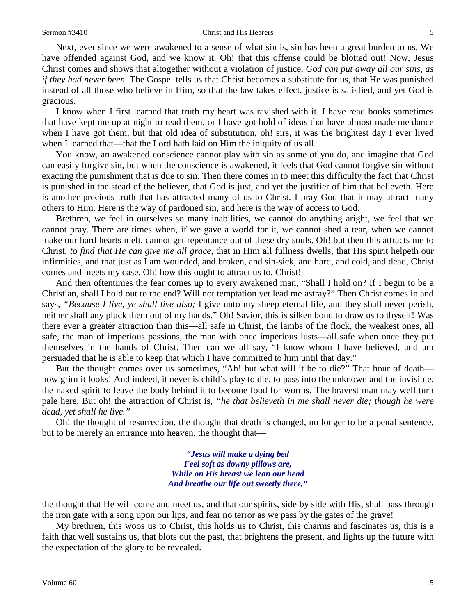Next, ever since we were awakened to a sense of what sin is, sin has been a great burden to us. We have offended against God, and we know it. Oh! that this offense could be blotted out! Now, Jesus Christ comes and shows that altogether without a violation of justice, *God can put away all our sins, as if they had never been*. The Gospel tells us that Christ becomes a substitute for us, that He was punished instead of all those who believe in Him, so that the law takes effect, justice is satisfied, and yet God is gracious.

I know when I first learned that truth my heart was ravished with it. I have read books sometimes that have kept me up at night to read them, or I have got hold of ideas that have almost made me dance when I have got them, but that old idea of substitution, oh! sirs, it was the brightest day I ever lived when I learned that—that the Lord hath laid on Him the iniquity of us all.

You know, an awakened conscience cannot play with sin as some of you do, and imagine that God can easily forgive sin, but when the conscience is awakened, it feels that God cannot forgive sin without exacting the punishment that is due to sin. Then there comes in to meet this difficulty the fact that Christ is punished in the stead of the believer, that God is just, and yet the justifier of him that believeth. Here is another precious truth that has attracted many of us to Christ. I pray God that it may attract many others to Him. Here is the way of pardoned sin, and here is the way of access to God.

Brethren, we feel in ourselves so many inabilities, we cannot do anything aright, we feel that we cannot pray. There are times when, if we gave a world for it, we cannot shed a tear, when we cannot make our hard hearts melt, cannot get repentance out of these dry souls. Oh! but then this attracts me to Christ, *to find that He can give me all grace,* that in Him all fullness dwells, that His spirit helpeth our infirmities, and that just as I am wounded, and broken, and sin-sick, and hard, and cold, and dead, Christ comes and meets my case. Oh! how this ought to attract us to, Christ!

And then oftentimes the fear comes up to every awakened man, "Shall I hold on? If I begin to be a Christian, shall I hold out to the end? Will not temptation yet lead me astray?" Then Christ comes in and says, *"Because I live, ye shall live also;* I give unto my sheep eternal life, and they shall never perish, neither shall any pluck them out of my hands." Oh! Savior, this is silken bond to draw us to thyself! Was there ever a greater attraction than this—all safe in Christ, the lambs of the flock, the weakest ones, all safe, the man of imperious passions, the man with once imperious lusts—all safe when once they put themselves in the hands of Christ. Then can we all say, "I know whom I have believed, and am persuaded that he is able to keep that which I have committed to him until that day."

But the thought comes over us sometimes, "Ah! but what will it be to die?" That hour of death how grim it looks! And indeed, it never is child's play to die, to pass into the unknown and the invisible, the naked spirit to leave the body behind it to become food for worms. The bravest man may well turn pale here. But oh! the attraction of Christ is, *"he that believeth in me shall never die; though he were dead, yet shall he live."* 

Oh! the thought of resurrection, the thought that death is changed, no longer to be a penal sentence, but to be merely an entrance into heaven, the thought that—

> *"Jesus will make a dying bed Feel soft as downy pillows are, While on His breast we lean our head And breathe our life out sweetly there,"*

the thought that He will come and meet us, and that our spirits, side by side with His, shall pass through the iron gate with a song upon our lips, and fear no terror as we pass by the gates of the grave!

My brethren, this woos us to Christ, this holds us to Christ, this charms and fascinates us, this is a faith that well sustains us, that blots out the past, that brightens the present, and lights up the future with the expectation of the glory to be revealed.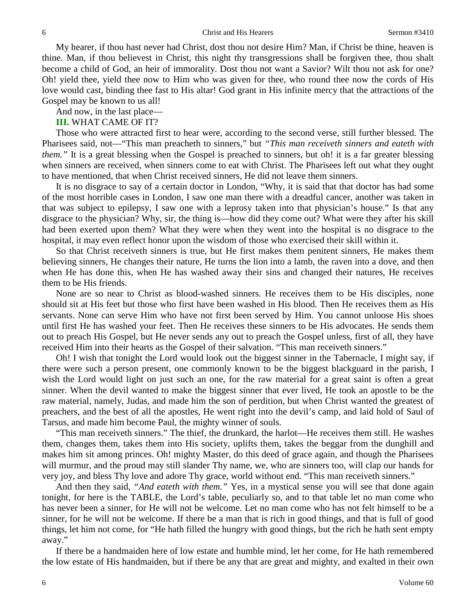My hearer, if thou hast never had Christ, dost thou not desire Him? Man, if Christ be thine, heaven is thine. Man, if thou believest in Christ, this night thy transgressions shall be forgiven thee, thou shalt become a child of God, an heir of immorality. Dost thou not want a Savior? Wilt thou not ask for one? Oh! yield thee, yield thee now to Him who was given for thee, who round thee now the cords of His love would cast, binding thee fast to His altar! God grant in His infinite mercy that the attractions of the Gospel may be known to us all!

And now, in the last place—

## **III.** WHAT CAME OF IT?

Those who were attracted first to hear were, according to the second verse, still further blessed. The Pharisees said, not—"This man preacheth to sinners," but *"This man receiveth sinners and eateth with them.*" It is a great blessing when the Gospel is preached to sinners, but oh! it is a far greater blessing when sinners are received, when sinners come to eat with Christ. The Pharisees left out what they ought to have mentioned, that when Christ received sinners, He did not leave them sinners.

It is no disgrace to say of a certain doctor in London, "Why, it is said that that doctor has had some of the most horrible cases in London, I saw one man there with a dreadful cancer, another was taken in that was subject to epilepsy, I saw one with a leprosy taken into that physician's house." Is that any disgrace to the physician? Why, sir, the thing is—how did they come out? What were they after his skill had been exerted upon them? What they were when they went into the hospital is no disgrace to the hospital, it may even reflect honor upon the wisdom of those who exercised their skill within it.

So that Christ receiveth sinners is true, but He first makes them penitent sinners, He makes them believing sinners, He changes their nature, He turns the lion into a lamb, the raven into a dove, and then when He has done this, when He has washed away their sins and changed their natures, He receives them to be His friends.

None are so near to Christ as blood-washed sinners. He receives them to be His disciples, none should sit at His feet but those who first have been washed in His blood. Then He receives them as His servants. None can serve Him who have not first been served by Him. You cannot unloose His shoes until first He has washed your feet. Then He receives these sinners to be His advocates. He sends them out to preach His Gospel, but He never sends any out to preach the Gospel unless, first of all, they have received Him into their hearts as the Gospel of their salvation. "This man receiveth sinners."

Oh! I wish that tonight the Lord would look out the biggest sinner in the Tabernacle, I might say, if there were such a person present, one commonly known to be the biggest blackguard in the parish, I wish the Lord would light on just such an one, for the raw material for a great saint is often a great sinner. When the devil wanted to make the biggest sinner that ever lived, He took an apostle to be the raw material, namely, Judas, and made him the son of perdition, but when Christ wanted the greatest of preachers, and the best of all the apostles, He went right into the devil's camp, and laid hold of Saul of Tarsus, and made him become Paul, the mighty winner of souls.

"This man receiveth sinners." The thief, the drunkard, the harlot—He receives them still. He washes them, changes them, takes them into His society, uplifts them, takes the beggar from the dunghill and makes him sit among princes. Oh! mighty Master, do this deed of grace again, and though the Pharisees will murmur, and the proud may still slander Thy name, we, who are sinners too, will clap our hands for very joy, and bless Thy love and adore Thy grace, world without end. "This man receiveth sinners."

And then they said, *"And eateth with them."* Yes, in a mystical sense you will see that done again tonight, for here is the TABLE, the Lord's table, peculiarly so, and to that table let no man come who has never been a sinner, for He will not be welcome. Let no man come who has not felt himself to be a sinner, for he will not be welcome. If there be a man that is rich in good things, and that is full of good things, let him not come, for "He hath filled the hungry with good things, but the rich he hath sent empty away."

If there be a handmaiden here of low estate and humble mind, let her come, for He hath remembered the low estate of His handmaiden, but if there be any that are great and mighty, and exalted in their own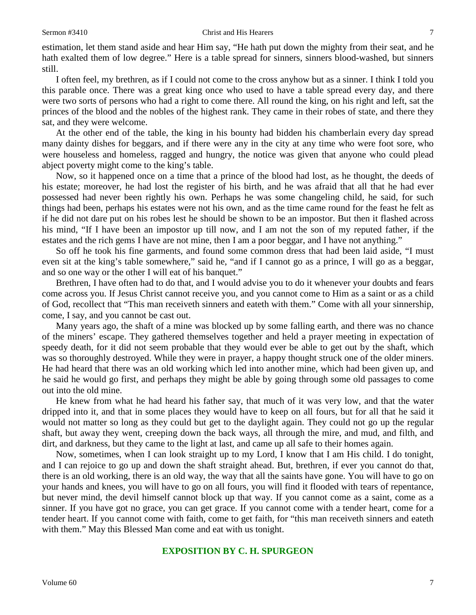estimation, let them stand aside and hear Him say, "He hath put down the mighty from their seat, and he hath exalted them of low degree." Here is a table spread for sinners, sinners blood-washed, but sinners still.

I often feel, my brethren, as if I could not come to the cross anyhow but as a sinner. I think I told you this parable once. There was a great king once who used to have a table spread every day, and there were two sorts of persons who had a right to come there. All round the king, on his right and left, sat the princes of the blood and the nobles of the highest rank. They came in their robes of state, and there they sat, and they were welcome.

At the other end of the table, the king in his bounty had bidden his chamberlain every day spread many dainty dishes for beggars, and if there were any in the city at any time who were foot sore, who were houseless and homeless, ragged and hungry, the notice was given that anyone who could plead abject poverty might come to the king's table.

Now, so it happened once on a time that a prince of the blood had lost, as he thought, the deeds of his estate; moreover, he had lost the register of his birth, and he was afraid that all that he had ever possessed had never been rightly his own. Perhaps he was some changeling child, he said, for such things had been, perhaps his estates were not his own, and as the time came round for the feast he felt as if he did not dare put on his robes lest he should be shown to be an impostor. But then it flashed across his mind, "If I have been an impostor up till now, and I am not the son of my reputed father, if the estates and the rich gems I have are not mine, then I am a poor beggar, and I have not anything."

So off he took his fine garments, and found some common dress that had been laid aside, "I must even sit at the king's table somewhere," said he, "and if I cannot go as a prince, I will go as a beggar, and so one way or the other I will eat of his banquet."

Brethren, I have often had to do that, and I would advise you to do it whenever your doubts and fears come across you. If Jesus Christ cannot receive you, and you cannot come to Him as a saint or as a child of God, recollect that "This man receiveth sinners and eateth with them." Come with all your sinnership, come, I say, and you cannot be cast out.

Many years ago, the shaft of a mine was blocked up by some falling earth, and there was no chance of the miners' escape. They gathered themselves together and held a prayer meeting in expectation of speedy death, for it did not seem probable that they would ever be able to get out by the shaft, which was so thoroughly destroyed. While they were in prayer, a happy thought struck one of the older miners. He had heard that there was an old working which led into another mine, which had been given up, and he said he would go first, and perhaps they might be able by going through some old passages to come out into the old mine.

He knew from what he had heard his father say, that much of it was very low, and that the water dripped into it, and that in some places they would have to keep on all fours, but for all that he said it would not matter so long as they could but get to the daylight again. They could not go up the regular shaft, but away they went, creeping down the back ways, all through the mire, and mud, and filth, and dirt, and darkness, but they came to the light at last, and came up all safe to their homes again.

Now, sometimes, when I can look straight up to my Lord, I know that I am His child. I do tonight, and I can rejoice to go up and down the shaft straight ahead. But, brethren, if ever you cannot do that, there is an old working, there is an old way, the way that all the saints have gone. You will have to go on your hands and knees, you will have to go on all fours, you will find it flooded with tears of repentance, but never mind, the devil himself cannot block up that way. If you cannot come as a saint, come as a sinner. If you have got no grace, you can get grace. If you cannot come with a tender heart, come for a tender heart. If you cannot come with faith, come to get faith, for "this man receiveth sinners and eateth with them." May this Blessed Man come and eat with us tonight.

### **EXPOSITION BY C. H. SPURGEON**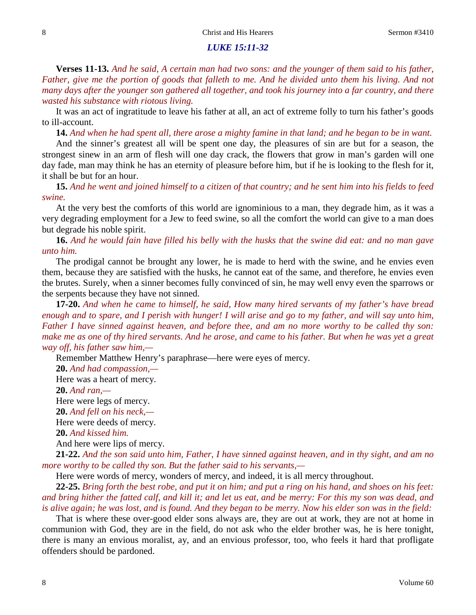#### *LUKE 15:11-32*

**Verses 11-13.** *And he said, A certain man had two sons: and the younger of them said to his father,*  Father, give me the portion of goods that falleth to me. And he divided unto them his living. And not *many days after the younger son gathered all together, and took his journey into a far country, and there wasted his substance with riotous living.*

It was an act of ingratitude to leave his father at all, an act of extreme folly to turn his father's goods to ill-account.

**14.** *And when he had spent all, there arose a mighty famine in that land; and he began to be in want.*

And the sinner's greatest all will be spent one day, the pleasures of sin are but for a season, the strongest sinew in an arm of flesh will one day crack, the flowers that grow in man's garden will one day fade, man may think he has an eternity of pleasure before him, but if he is looking to the flesh for it, it shall be but for an hour.

**15.** *And he went and joined himself to a citizen of that country; and he sent him into his fields to feed swine.*

At the very best the comforts of this world are ignominious to a man, they degrade him, as it was a very degrading employment for a Jew to feed swine, so all the comfort the world can give to a man does but degrade his noble spirit.

**16.** *And he would fain have filled his belly with the husks that the swine did eat: and no man gave unto him.*

The prodigal cannot be brought any lower, he is made to herd with the swine, and he envies even them, because they are satisfied with the husks, he cannot eat of the same, and therefore, he envies even the brutes. Surely, when a sinner becomes fully convinced of sin, he may well envy even the sparrows or the serpents because they have not sinned.

**17-20.** *And when he came to himself, he said, How many hired servants of my father's have bread enough and to spare, and I perish with hunger! I will arise and go to my father, and will say unto him, Father I have sinned against heaven, and before thee, and am no more worthy to be called thy son: make me as one of thy hired servants. And he arose, and came to his father. But when he was yet a great way off, his father saw him,—*

Remember Matthew Henry's paraphrase—here were eyes of mercy.

**20.** *And had compassion,—*

Here was a heart of mercy. **20.** *And ran,—*

Here were legs of mercy.

**20.** *And fell on his neck,—*

Here were deeds of mercy.

**20.** *And kissed him.*

And here were lips of mercy.

**21-22.** *And the son said unto him, Father, I have sinned against heaven, and in thy sight, and am no more worthy to be called thy son. But the father said to his servants,—*

Here were words of mercy, wonders of mercy, and indeed, it is all mercy throughout.

**22-25.** *Bring forth the best robe, and put it on him; and put a ring on his hand, and shoes on his feet: and bring hither the fatted calf, and kill it; and let us eat, and be merry: For this my son was dead, and is alive again; he was lost, and is found. And they began to be merry. Now his elder son was in the field:*

That is where these over-good elder sons always are, they are out at work, they are not at home in communion with God, they are in the field, do not ask who the elder brother was, he is here tonight, there is many an envious moralist, ay, and an envious professor, too, who feels it hard that profligate offenders should be pardoned.